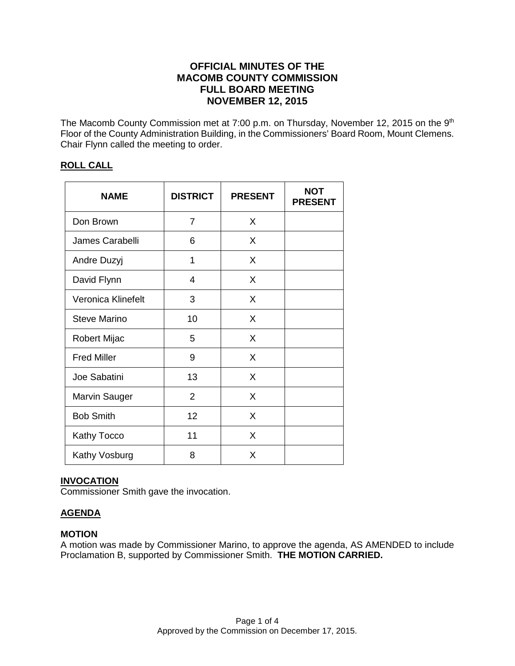# **OFFICIAL MINUTES OF THE MACOMB COUNTY COMMISSION FULL BOARD MEETING NOVEMBER 12, 2015**

The Macomb County Commission met at 7:00 p.m. on Thursday, November 12, 2015 on the 9<sup>th</sup> Floor of the County Administration Building, in the Commissioners' Board Room, Mount Clemens. Chair Flynn called the meeting to order.

# **ROLL CALL**

| <b>NAME</b>          | <b>DISTRICT</b> | <b>PRESENT</b> | NOT<br><b>PRESENT</b> |
|----------------------|-----------------|----------------|-----------------------|
| Don Brown            | 7               | X              |                       |
| James Carabelli      | 6               | X              |                       |
| Andre Duzyj          | 1               | X              |                       |
| David Flynn          | 4               | X              |                       |
| Veronica Klinefelt   | 3               | X              |                       |
| <b>Steve Marino</b>  | 10              | X              |                       |
| Robert Mijac         | 5               | X              |                       |
| <b>Fred Miller</b>   | 9               | X              |                       |
| Joe Sabatini         | 13              | X              |                       |
| <b>Marvin Sauger</b> | $\overline{2}$  | X              |                       |
| <b>Bob Smith</b>     | 12              | X              |                       |
| <b>Kathy Tocco</b>   | 11              | X              |                       |
| Kathy Vosburg        | 8               | X              |                       |

# **INVOCATION**

Commissioner Smith gave the invocation.

# **AGENDA**

# **MOTION**

A motion was made by Commissioner Marino, to approve the agenda, AS AMENDED to include Proclamation B, supported by Commissioner Smith. **THE MOTION CARRIED.**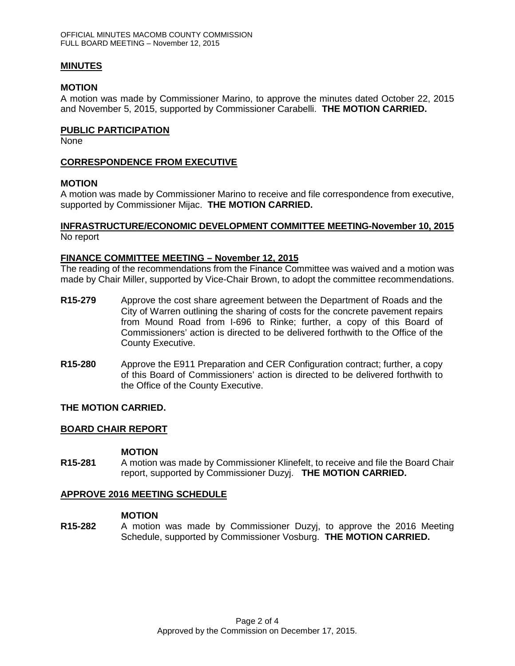### **MINUTES**

#### **MOTION**

A motion was made by Commissioner Marino, to approve the minutes dated October 22, 2015 and November 5, 2015, supported by Commissioner Carabelli. **THE MOTION CARRIED.** 

### **PUBLIC PARTICIPATION**

None

# **CORRESPONDENCE FROM EXECUTIVE**

### **MOTION**

A motion was made by Commissioner Marino to receive and file correspondence from executive, supported by Commissioner Mijac. **THE MOTION CARRIED.**

### **INFRASTRUCTURE/ECONOMIC DEVELOPMENT COMMITTEE MEETING-November 10, 2015** No report

### **FINANCE COMMITTEE MEETING – November 12, 2015**

The reading of the recommendations from the Finance Committee was waived and a motion was made by Chair Miller, supported by Vice-Chair Brown, to adopt the committee recommendations.

- **R15-279** Approve the cost share agreement between the Department of Roads and the City of Warren outlining the sharing of costs for the concrete pavement repairs from Mound Road from I-696 to Rinke; further, a copy of this Board of Commissioners' action is directed to be delivered forthwith to the Office of the County Executive.
- **R15-280** Approve the E911 Preparation and CER Configuration contract; further, a copy of this Board of Commissioners' action is directed to be delivered forthwith to the Office of the County Executive.

# **THE MOTION CARRIED.**

#### **BOARD CHAIR REPORT**

#### **MOTION**

**R15-281** A motion was made by Commissioner Klinefelt, to receive and file the Board Chair report, supported by Commissioner Duzyj. **THE MOTION CARRIED.**

# **APPROVE 2016 MEETING SCHEDULE**

#### **MOTION**

**R15-282** A motion was made by Commissioner Duzyj, to approve the 2016 Meeting Schedule, supported by Commissioner Vosburg. **THE MOTION CARRIED.**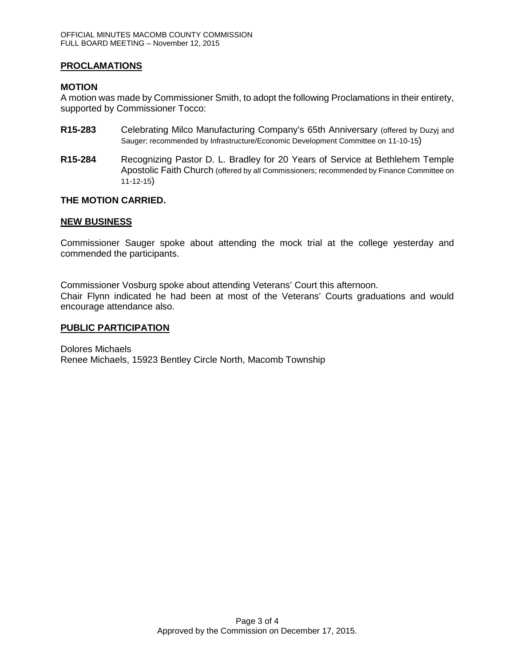# **PROCLAMATIONS**

# **MOTION**

A motion was made by Commissioner Smith, to adopt the following Proclamations in their entirety, supported by Commissioner Tocco:

- **R15-283** Celebrating Milco Manufacturing Company's 65th Anniversary (offered by Duzyj and Sauger; recommended by Infrastructure/Economic Development Committee on 11-10-15)
- **R15-284** Recognizing Pastor D. L. Bradley for 20 Years of Service at Bethlehem Temple Apostolic Faith Church (offered by all Commissioners; recommended by Finance Committee on 11-12-15)

# **THE MOTION CARRIED.**

# **NEW BUSINESS**

Commissioner Sauger spoke about attending the mock trial at the college yesterday and commended the participants.

Commissioner Vosburg spoke about attending Veterans' Court this afternoon. Chair Flynn indicated he had been at most of the Veterans' Courts graduations and would encourage attendance also.

### **PUBLIC PARTICIPATION**

Dolores Michaels Renee Michaels, 15923 Bentley Circle North, Macomb Township